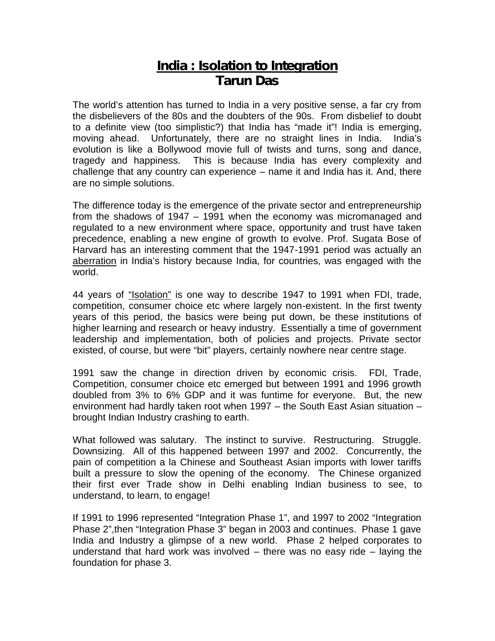## **India : Isolation to Integration Tarun Das**

The world's attention has turned to India in a very positive sense, a far cry from the disbelievers of the 80s and the doubters of the 90s. From disbelief to doubt to a definite view (too simplistic?) that India has "made it"! India is emerging, moving ahead. Unfortunately, there are no straight lines in India. India's evolution is like a Bollywood movie full of twists and turns, song and dance, tragedy and happiness. This is because India has every complexity and challenge that any country can experience – name it and India has it. And, there are no simple solutions.

The difference today is the emergence of the private sector and entrepreneurship from the shadows of 1947 – 1991 when the economy was micromanaged and regulated to a new environment where space, opportunity and trust have taken precedence, enabling a new engine of growth to evolve. Prof. Sugata Bose of Harvard has an interesting comment that the 1947-1991 period was actually an aberration in India's history because India, for countries, was engaged with the world.

44 years of "Isolation" is one way to describe 1947 to 1991 when FDI, trade, competition, consumer choice etc where largely non-existent. In the first twenty years of this period, the basics were being put down, be these institutions of higher learning and research or heavy industry. Essentially a time of government leadership and implementation, both of policies and projects. Private sector existed, of course, but were "bit" players, certainly nowhere near centre stage.

1991 saw the change in direction driven by economic crisis. FDI, Trade, Competition, consumer choice etc emerged but between 1991 and 1996 growth doubled from 3% to 6% GDP and it was funtime for everyone. But, the new environment had hardly taken root when 1997 – the South East Asian situation – brought Indian Industry crashing to earth.

What followed was salutary. The instinct to survive. Restructuring. Struggle. Downsizing. All of this happened between 1997 and 2002. Concurrently, the pain of competition a la Chinese and Southeast Asian imports with lower tariffs built a pressure to slow the opening of the economy. The Chinese organized their first ever Trade show in Delhi enabling Indian business to see, to understand, to learn, to engage!

If 1991 to 1996 represented "Integration Phase 1", and 1997 to 2002 "Integration Phase 2",then "Integration Phase 3" began in 2003 and continues. Phase 1 gave India and Industry a glimpse of a new world. Phase 2 helped corporates to understand that hard work was involved – there was no easy ride – laying the foundation for phase 3.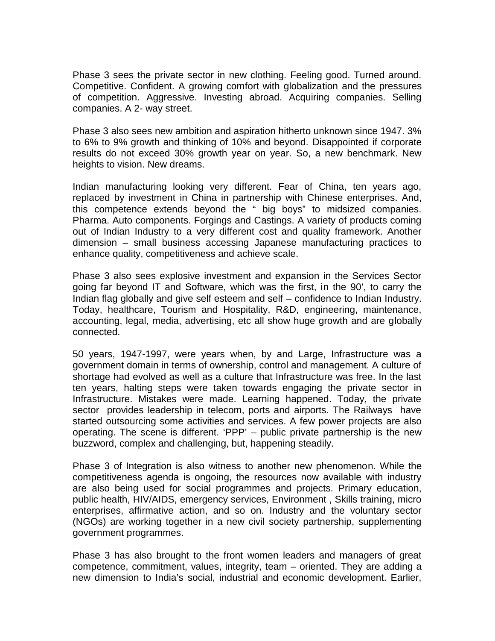Phase 3 sees the private sector in new clothing. Feeling good. Turned around. Competitive. Confident. A growing comfort with globalization and the pressures of competition. Aggressive. Investing abroad. Acquiring companies. Selling companies. A 2- way street.

Phase 3 also sees new ambition and aspiration hitherto unknown since 1947. 3% to 6% to 9% growth and thinking of 10% and beyond. Disappointed if corporate results do not exceed 30% growth year on year. So, a new benchmark. New heights to vision. New dreams.

Indian manufacturing looking very different. Fear of China, ten years ago, replaced by investment in China in partnership with Chinese enterprises. And, this competence extends beyond the " big boys" to midsized companies. Pharma. Auto components. Forgings and Castings. A variety of products coming out of Indian Industry to a very different cost and quality framework. Another dimension – small business accessing Japanese manufacturing practices to enhance quality, competitiveness and achieve scale.

Phase 3 also sees explosive investment and expansion in the Services Sector going far beyond IT and Software, which was the first, in the 90', to carry the Indian flag globally and give self esteem and self – confidence to Indian Industry. Today, healthcare, Tourism and Hospitality, R&D, engineering, maintenance, accounting, legal, media, advertising, etc all show huge growth and are globally connected.

50 years, 1947-1997, were years when, by and Large, Infrastructure was a government domain in terms of ownership, control and management. A culture of shortage had evolved as well as a culture that Infrastructure was free. In the last ten years, halting steps were taken towards engaging the private sector in Infrastructure. Mistakes were made. Learning happened. Today, the private sector provides leadership in telecom, ports and airports. The Railways have started outsourcing some activities and services. A few power projects are also operating. The scene is different. 'PPP' – public private partnership is the new buzzword, complex and challenging, but, happening steadily.

Phase 3 of Integration is also witness to another new phenomenon. While the competitiveness agenda is ongoing, the resources now available with industry are also being used for social programmes and projects. Primary education, public health, HIV/AIDS, emergency services, Environment , Skills training, micro enterprises, affirmative action, and so on. Industry and the voluntary sector (NGOs) are working together in a new civil society partnership, supplementing government programmes.

Phase 3 has also brought to the front women leaders and managers of great competence, commitment, values, integrity, team – oriented. They are adding a new dimension to India's social, industrial and economic development. Earlier,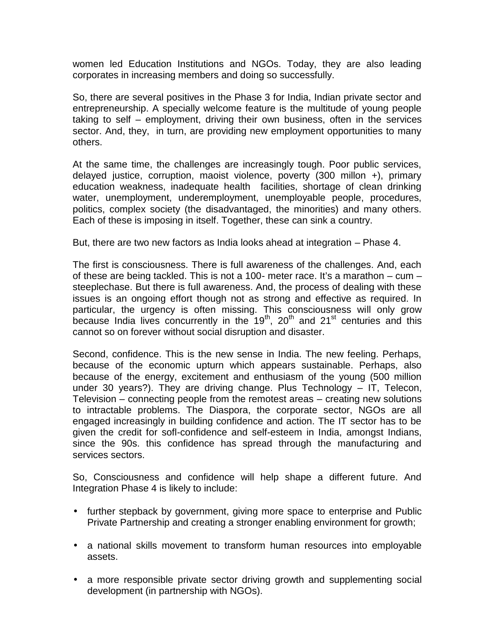women led Education Institutions and NGOs. Today, they are also leading corporates in increasing members and doing so successfully.

So, there are several positives in the Phase 3 for India, Indian private sector and entrepreneurship. A specially welcome feature is the multitude of young people taking to self – employment, driving their own business, often in the services sector. And, they, in turn, are providing new employment opportunities to many others.

At the same time, the challenges are increasingly tough. Poor public services, delayed justice, corruption, maoist violence, poverty (300 millon +), primary education weakness, inadequate health facilities, shortage of clean drinking water, unemployment, underemployment, unemployable people, procedures, politics, complex society (the disadvantaged, the minorities) and many others. Each of these is imposing in itself. Together, these can sink a country.

But, there are two new factors as India looks ahead at integration – Phase 4.

The first is consciousness. There is full awareness of the challenges. And, each of these are being tackled. This is not a 100- meter race. It's a marathon – cum – steeplechase. But there is full awareness. And, the process of dealing with these issues is an ongoing effort though not as strong and effective as required. In particular, the urgency is often missing. This consciousness will only grow because India lives concurrently in the  $19<sup>th</sup>$ , 20<sup>th</sup> and 21<sup>st</sup> centuries and this cannot so on forever without social disruption and disaster.

Second, confidence. This is the new sense in India. The new feeling. Perhaps, because of the economic upturn which appears sustainable. Perhaps, also because of the energy, excitement and enthusiasm of the young (500 million under 30 years?). They are driving change. Plus Technology – IT, Telecon, Television – connecting people from the remotest areas – creating new solutions to intractable problems. The Diaspora, the corporate sector, NGOs are all engaged increasingly in building confidence and action. The IT sector has to be given the credit for sofl-confidence and self-esteem in India, amongst Indians, since the 90s. this confidence has spread through the manufacturing and services sectors.

So, Consciousness and confidence will help shape a different future. And Integration Phase 4 is likely to include:

- further stepback by government, giving more space to enterprise and Public Private Partnership and creating a stronger enabling environment for growth;
- a national skills movement to transform human resources into employable assets.
- a more responsible private sector driving growth and supplementing social development (in partnership with NGOs).